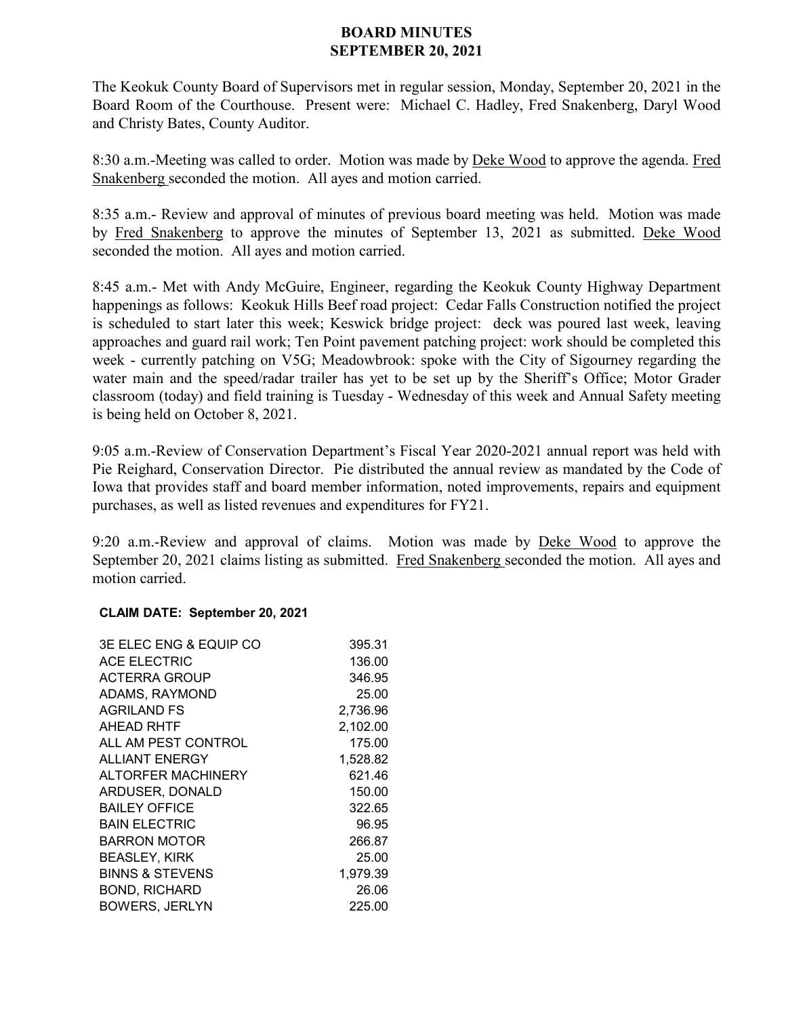## **BOARD MINUTES SEPTEMBER 20, 2021**

The Keokuk County Board of Supervisors met in regular session, Monday, September 20, 2021 in the Board Room of the Courthouse. Present were: Michael C. Hadley, Fred Snakenberg, Daryl Wood and Christy Bates, County Auditor.

8:30 a.m.-Meeting was called to order. Motion was made by Deke Wood to approve the agenda. Fred Snakenberg seconded the motion. All ayes and motion carried.

8:35 a.m.- Review and approval of minutes of previous board meeting was held. Motion was made by Fred Snakenberg to approve the minutes of September 13, 2021 as submitted. Deke Wood seconded the motion. All ayes and motion carried.

8:45 a.m.- Met with Andy McGuire, Engineer, regarding the Keokuk County Highway Department happenings as follows: Keokuk Hills Beef road project: Cedar Falls Construction notified the project is scheduled to start later this week; Keswick bridge project: deck was poured last week, leaving approaches and guard rail work; Ten Point pavement patching project: work should be completed this week - currently patching on V5G; Meadowbrook: spoke with the City of Sigourney regarding the water main and the speed/radar trailer has yet to be set up by the Sheriff's Office; Motor Grader classroom (today) and field training is Tuesday - Wednesday of this week and Annual Safety meeting is being held on October 8, 2021.

9:05 a.m.-Review of Conservation Department's Fiscal Year 2020-2021 annual report was held with Pie Reighard, Conservation Director. Pie distributed the annual review as mandated by the Code of Iowa that provides staff and board member information, noted improvements, repairs and equipment purchases, as well as listed revenues and expenditures for FY21.

9:20 a.m.-Review and approval of claims. Motion was made by Deke Wood to approve the September 20, 2021 claims listing as submitted. Fred Snakenberg seconded the motion. All ayes and motion carried.

## **CLAIM DATE: September 20, 2021**

| <b>3E ELEC ENG &amp; EQUIP CO</b> | 395.31   |
|-----------------------------------|----------|
| <b>ACE ELECTRIC</b>               | 136.00   |
| ACTERRA GROUP                     | 346.95   |
| ADAMS, RAYMOND                    | 25.00    |
| <b>AGRILAND FS</b>                | 2,736.96 |
| AHEAD RHTF                        | 2,102.00 |
| ALL AM PEST CONTROL               | 175.00   |
| <b>ALLIANT ENERGY</b>             | 1,528.82 |
| ALTORFER MACHINERY                | 621.46   |
| ARDUSER, DONALD                   | 150.00   |
| <b>BAILEY OFFICE</b>              | 322.65   |
| <b>BAIN ELECTRIC</b>              | 96.95    |
| <b>BARRON MOTOR</b>               | 266.87   |
| <b>BEASLEY, KIRK</b>              | 25.00    |
| <b>BINNS &amp; STEVENS</b>        | 1,979.39 |
| <b>BOND, RICHARD</b>              | 26.06    |
| <b>BOWERS, JERLYN</b>             | 225.00   |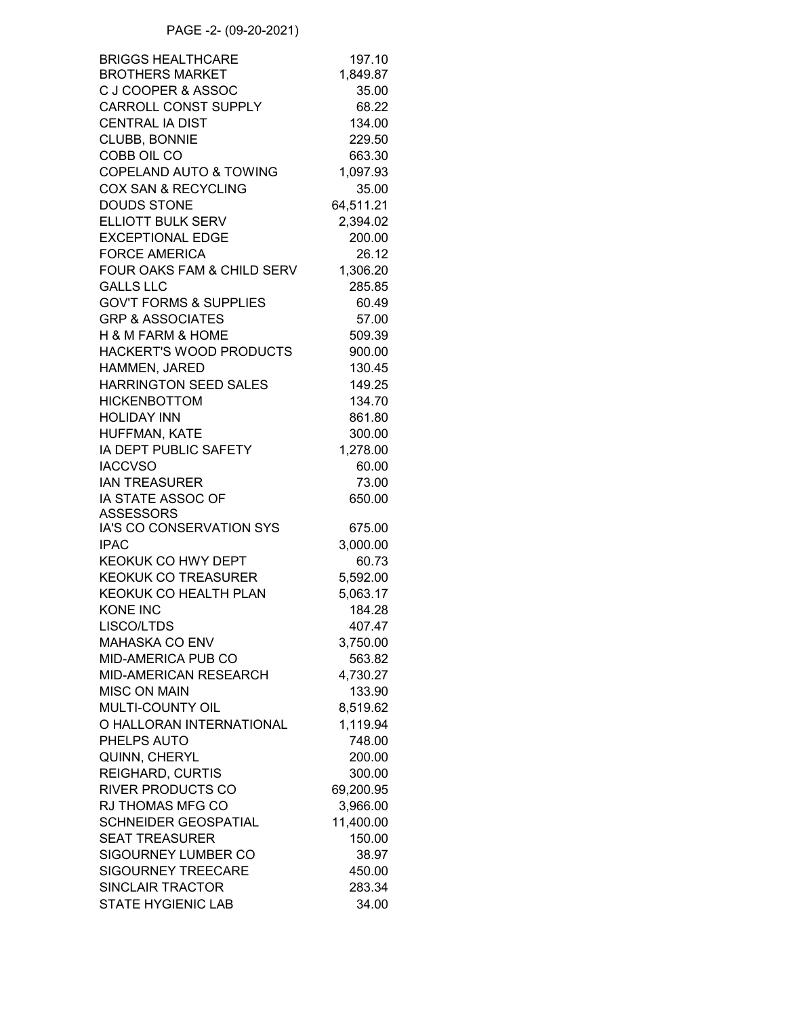| <b>BRIGGS HEALTHCARE</b>          | 197.10    |
|-----------------------------------|-----------|
| <b>BROTHERS MARKET</b>            | 1,849.87  |
| C J COOPER & ASSOC                | 35.00     |
| <b>CARROLL CONST SUPPLY</b>       | 68.22     |
| <b>CENTRAL IA DIST</b>            | 134.00    |
| CLUBB, BONNIE                     | 229.50    |
| COBB OIL CO                       | 663.30    |
| <b>COPELAND AUTO &amp; TOWING</b> | 1,097.93  |
| <b>COX SAN &amp; RECYCLING</b>    | 35.00     |
| <b>DOUDS STONE</b>                | 64,511.21 |
| ELLIOTT BULK SERV                 | 2,394.02  |
| <b>EXCEPTIONAL EDGE</b>           | 200.00    |
| <b>FORCE AMERICA</b>              | 26.12     |
| FOUR OAKS FAM & CHILD SERV        | 1,306.20  |
| <b>GALLS LLC</b>                  | 285.85    |
| <b>GOV'T FORMS &amp; SUPPLIES</b> | 60.49     |
| <b>GRP &amp; ASSOCIATES</b>       | 57.00     |
| H & M FARM & HOME                 | 509.39    |
| HACKERT'S WOOD PRODUCTS           | 900.00    |
| HAMMEN, JARED                     | 130.45    |
| <b>HARRINGTON SEED SALES</b>      | 149.25    |
| <b>HICKENBOTTOM</b>               | 134.70    |
| <b>HOLIDAY INN</b>                | 861.80    |
| HUFFMAN, KATE                     | 300.00    |
| IA DEPT PUBLIC SAFETY             | 1,278.00  |
| <b>IACCVSO</b>                    | 60.00     |
| <b>IAN TREASURER</b>              | 73.00     |
| IA STATE ASSOC OF                 | 650.00    |
| <b>ASSESSORS</b>                  |           |
| IA'S CO CONSERVATION SYS          | 675.00    |
| <b>IPAC</b>                       | 3,000.00  |
| KEOKUK CO HWY DEPT                | 60.73     |
| <b>KEOKUK CO TREASURER</b>        | 5,592.00  |
| <b>KEOKUK CO HEALTH PLAN</b>      | 5,063.17  |
| <b>KONE INC</b>                   | 184.28    |
| LISCO/LTDS                        | 407.47    |
| <b>MAHASKA CO ENV</b>             | 3,750.00  |
| MID-AMERICA PUB CO                | 563.82    |
| <b>MID-AMERICAN RESEARCH</b>      | 4,730.27  |
| <b>MISC ON MAIN</b>               | 133.90    |
| <b>MULTI-COUNTY OIL</b>           | 8,519.62  |
| O HALLORAN INTERNATIONAL          | 1,119.94  |
| PHELPS AUTO                       | 748.00    |
| QUINN, CHERYL                     | 200.00    |
| <b>REIGHARD, CURTIS</b>           | 300.00    |
| <b>RIVER PRODUCTS CO</b>          | 69,200.95 |
| <b>RJ THOMAS MFG CO</b>           | 3,966.00  |
| <b>SCHNEIDER GEOSPATIAL</b>       | 11,400.00 |
| <b>SEAT TREASURER</b>             | 150.00    |
| <b>SIGOURNEY LUMBER CO</b>        | 38.97     |
| <b>SIGOURNEY TREECARE</b>         | 450.00    |
| <b>SINCLAIR TRACTOR</b>           | 283.34    |
| <b>STATE HYGIENIC LAB</b>         | 34.00     |
|                                   |           |